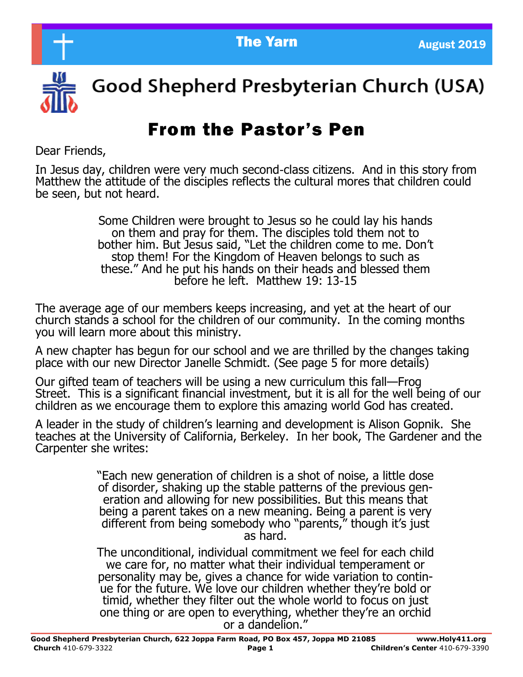

Good Shepherd Presbyterian Church (USA)

# From the Pastor's Pen

Dear Friends,

In Jesus day, children were very much second-class citizens. And in this story from Matthew the attitude of the disciples reflects the cultural mores that children could be seen, but not heard.

> Some Children were brought to Jesus so he could lay his hands on them and pray for them. The disciples told them not to bother him. But Jesus said, "Let the children come to me. Don't stop them! For the Kingdom of Heaven belongs to such as these." And he put his hands on their heads and blessed them before he left. Matthew 19: 13-15

The average age of our members keeps increasing, and yet at the heart of our church stands a school for the children of our community. In the coming months you will learn more about this ministry.

A new chapter has begun for our school and we are thrilled by the changes taking place with our new Director Janelle Schmidt. (See page 5 for more details)

Our gifted team of teachers will be using a new curriculum this fall—Frog Street. This is a significant financial investment, but it is all for the well being of our children as we encourage them to explore this amazing world God has created.

A leader in the study of children's learning and development is Alison Gopnik. She teaches at the University of California, Berkeley. In her book, The Gardener and the Carpenter she writes:

> "Each new generation of children is a shot of noise, a little dose of disorder, shaking up the stable patterns of the previous generation and allowing for new possibilities. But this means that being a parent takes on a new meaning. Being a parent is very different from being somebody who "parents," though it's just as hard.

> The unconditional, individual commitment we feel for each child we care for, no matter what their individual temperament or personality may be, gives a chance for wide variation to continue for the future. We love our children whether they're bold or timid, whether they filter out the whole world to focus on just one thing or are open to everything, whether they're an orchid or a dandelion."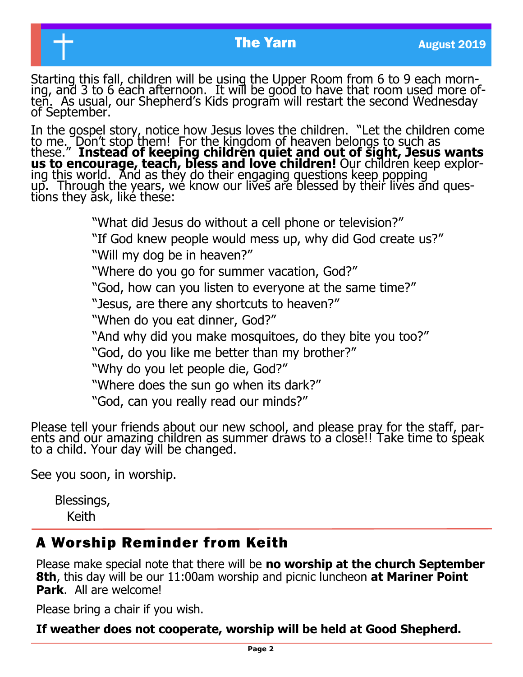#### **The Yarn August 2019**

Starting this fall, children will be using the Upper Room from 6 to 9 each morning, and 3 to 6 each afternoon. It will be good to have that room used more often. As usual, our Shepherd's Kids program will restart the second Wednesday of September.

In the gospel story, notice how Jesus loves the children. "Let the children come to me. Don't stop them! For the kingdom of heaven belongs to such as these." **Instead of keeping children quiet and out of sight, Jesus wants us to encourage, teach, bless and love children!** Our children keep exploring this world. And as they do their engaging questions keep popping up. Through the years, we know our lives are blessed by their lives and questions they ask, like these:

"What did Jesus do without a cell phone or television?"

"If God knew people would mess up, why did God create us?" "Will my dog be in heaven?"

"Where do you go for summer vacation, God?"

"God, how can you listen to everyone at the same time?"

"Jesus, are there any shortcuts to heaven?"

"When do you eat dinner, God?"

"And why did you make mosquitoes, do they bite you too?"

"God, do you like me better than my brother?"

"Why do you let people die, God?"

"Where does the sun go when its dark?"

"God, can you really read our minds?"

Please tell your friends about our new school, and please pray for the staff, parents and our amazing children as summer draws to a close!! Take time to speak to a child. Your day will be changed.

See you soon, in worship.

 Blessings, Keith

#### A Worship Reminder from Keith

Please make special note that there will be **no worship at the church September 8th**, this day will be our 11:00am worship and picnic luncheon **at Mariner Point Park**. All are welcome!

Please bring a chair if you wish.

**If weather does not cooperate, worship will be held at Good Shepherd.**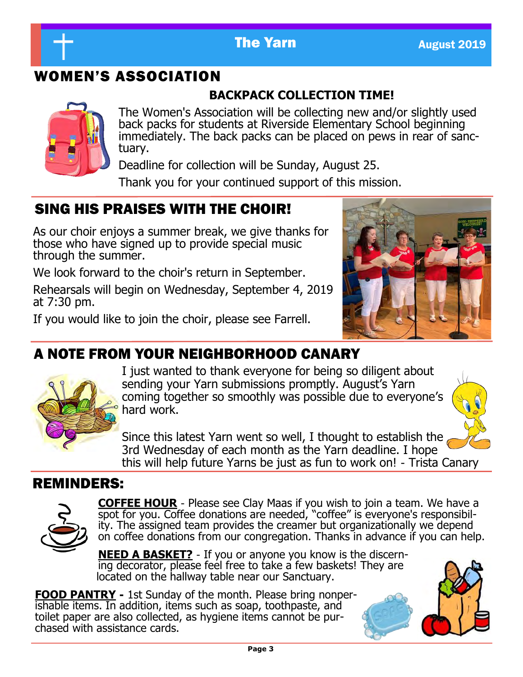

## WOMEN'S ASSOCIATION

#### **BACKPACK COLLECTION TIME!**



The Women's Association will be collecting new and/or slightly used back packs for students at Riverside Elementary School beginning immediately. The back packs can be placed on pews in rear of sanctuary.

Deadline for collection will be Sunday, August 25.

Thank you for your continued support of this mission.

## SING HIS PRAISES WITH THE CHOIR!

As our choir enjoys a summer break, we give thanks for those who have signed up to provide special music through the summer.

We look forward to the choir's return in September.

Rehearsals will begin on Wednesday, September 4, 2019 at 7:30 pm.

If you would like to join the choir, please see Farrell.



## A NOTE FROM YOUR NEIGHBORHOOD CANARY



I just wanted to thank everyone for being so diligent about sending your Yarn submissions promptly. August's Yarn coming together so smoothly was possible due to everyone's hard work.



Since this latest Yarn went so well, I thought to establish the 3rd Wednesday of each month as the Yarn deadline. I hope this will help future Yarns be just as fun to work on! - Trista Canary

### REMINDERS:



**COFFEE HOUR** - Please see Clay Maas if you wish to join a team. We have a spot for you. Coffee donations are needed, "coffee" is everyone's responsibility. The assigned team provides the creamer but organizationally we depend on coffee donations from our congregation. Thanks in advance if you can help.

**NEED A BASKET?** - If you or anyone you know is the discerning decorator, please feel free to take a few baskets! They are located on the hallway table near our Sanctuary.

**FOOD PANTRY -** 1st Sunday of the month. Please bring nonperishable items. In addition, items such as soap, toothpaste, and toilet paper are also collected, as hygiene items cannot be purchased with assistance cards.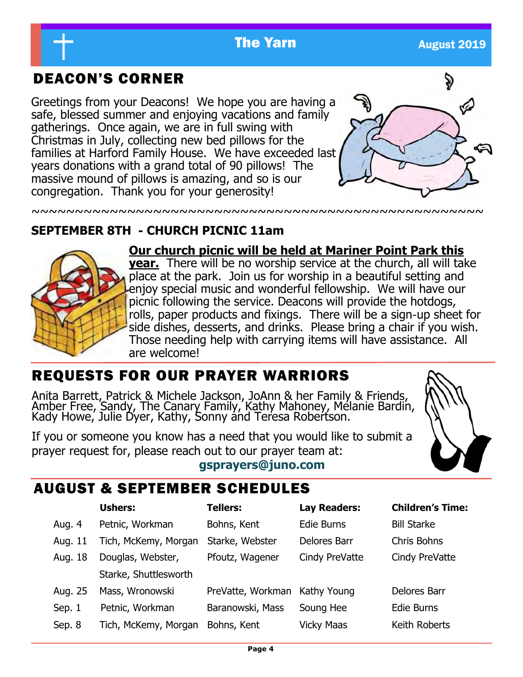#### **The Yarn August 2019**

~~~~~~~~~~~~~~~~~~~~~~~~~~~~~~~~~~~~~~~~~~~~~~~~~~~~

## DEACON'S CORNER

Greetings from your Deacons! We hope you are having a safe, blessed summer and enjoying vacations and family gatherings. Once again, we are in full swing with Christmas in July, collecting new bed pillows for the families at Harford Family House. We have exceeded last years donations with a grand total of 90 pillows! The massive mound of pillows is amazing, and so is our congregation. Thank you for your generosity!



#### **SEPTEMBER 8TH - CHURCH PICNIC 11am**



**Our church picnic will be held at Mariner Point Park this** 

**year.** There will be no worship service at the church, all will take place at the park. Join us for worship in a beautiful setting and enjoy special music and wonderful fellowship. We will have our picnic following the service. Deacons will provide the hotdogs, rolls, paper products and fixings. There will be a sign-up sheet for side dishes, desserts, and drinks. Please bring a chair if you wish. Those needing help with carrying items will have assistance. All are welcome!

## REQUESTS FOR OUR PRAYER WARRIORS

Anita Barrett, Patrick & Michele Jackson, JoAnn & her Family & Friends, Amber Free, Sandy, The Canary Family, Kathy Mahoney, Melanie Bardin, Kady Howe, Julie Dyer, Kathy, Sonny and Teresa Robertson.

If you or someone you know has a need that you would like to submit a prayer request for, please reach out to our prayer team at:

#### **gsprayers@juno.com**



### AUGUST & SEPTEMBER SCHEDULES

|         | <b>Ushers:</b>        | <b>Tellers:</b>               | <b>Lay Readers:</b> | <b>Children's Time:</b> |
|---------|-----------------------|-------------------------------|---------------------|-------------------------|
| Aug. 4  | Petnic, Workman       | Bohns, Kent                   | Edie Burns          | <b>Bill Starke</b>      |
| Aug. 11 | Tich, McKemy, Morgan  | Starke, Webster               | Delores Barr        | Chris Bohns             |
| Aug. 18 | Douglas, Webster,     | Pfoutz, Wagener               | Cindy PreVatte      | Cindy PreVatte          |
|         | Starke, Shuttlesworth |                               |                     |                         |
| Aug. 25 | Mass, Wronowski       | PreVatte, Workman Kathy Young |                     | Delores Barr            |
| Sep. 1  | Petnic, Workman       | Baranowski, Mass              | Soung Hee           | Edie Burns              |
| Sep. 8  | Tich, McKemy, Morgan  | Bohns, Kent                   | Vicky Maas          | Keith Roberts           |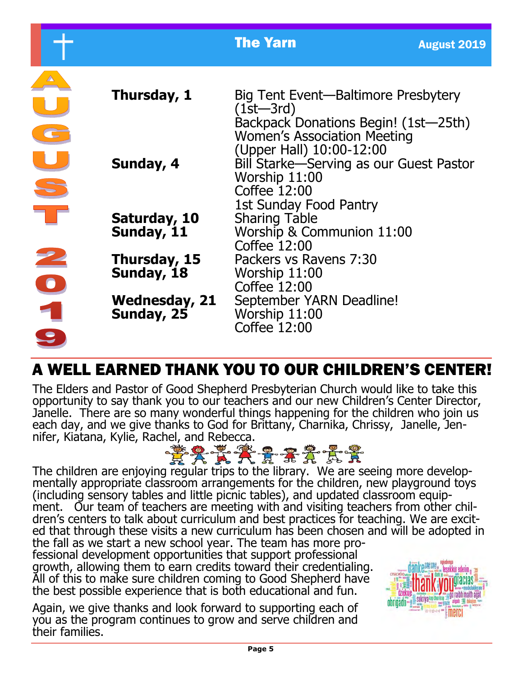|                                                                   |                             | <b>The Yarn</b>                                                                                                                            | <b>August 2019</b> |
|-------------------------------------------------------------------|-----------------------------|--------------------------------------------------------------------------------------------------------------------------------------------|--------------------|
|                                                                   | Thursday, 1                 | Big Tent Event—Baltimore Presbytery<br>$(1$ st $-3$ rd $)$<br>Backpack Donations Begin! (1st-25th)                                         |                    |
|                                                                   | Sunday, 4                   | <b>Women's Association Meeting</b><br>(Upper Hall) 10:00-12:00<br>Bill Starke—Serving as our Guest Pastor<br>Worship 11:00<br>Coffee 12:00 |                    |
|                                                                   | Saturday, 10<br>Sunday, 11  | 1st Sunday Food Pantry<br><b>Sharing Table</b><br>Worship & Communion 11:00<br>Coffee 12:00                                                |                    |
| 2                                                                 | Thursday, 15<br>Sunday, 18  | Packers vs Ravens 7:30<br>Worship 11:00<br>Coffee 12:00                                                                                    |                    |
| $\begin{array}{c} \bullet \\ \bullet \\ \bullet \end{array}$<br>9 | Wednesday, 21<br>Sunday, 25 | September YARN Deadline!<br>Worship 11:00<br>Coffee 12:00                                                                                  |                    |

## A WELL EARNED THANK YOU TO OUR CHILDREN'S CENTER!

The Elders and Pastor of Good Shepherd Presbyterian Church would like to take this opportunity to say thank you to our teachers and our new Children's Center Director, Janelle. There are so many wonderful things happening for the children who join us each day, and we give thanks to God for Brittany, Charnika, Chrissy, Janelle, Jen-



The children are enjoying regular trips to the library. We are seeing more developmentally appropriate classroom arrangements for the children, new playground toys (including sensory tables and little picnic tables), and updated classroom equipment. Our team of teachers are meeting with and visiting teachers from other children's centers to talk about curriculum and best practices for teaching. We are excited that through these visits a new curriculum has been chosen and will be adopted in the fall as we start a new school year. The team has more pro-

fessional development opportunities that support professional growth, allowing them to earn credits toward their credentialing. All of this to make sure children coming to Good Shepherd have the best possible experience that is both educational and fun.

Again, we give thanks and look forward to supporting each of you as the program continues to grow and serve children and their families.